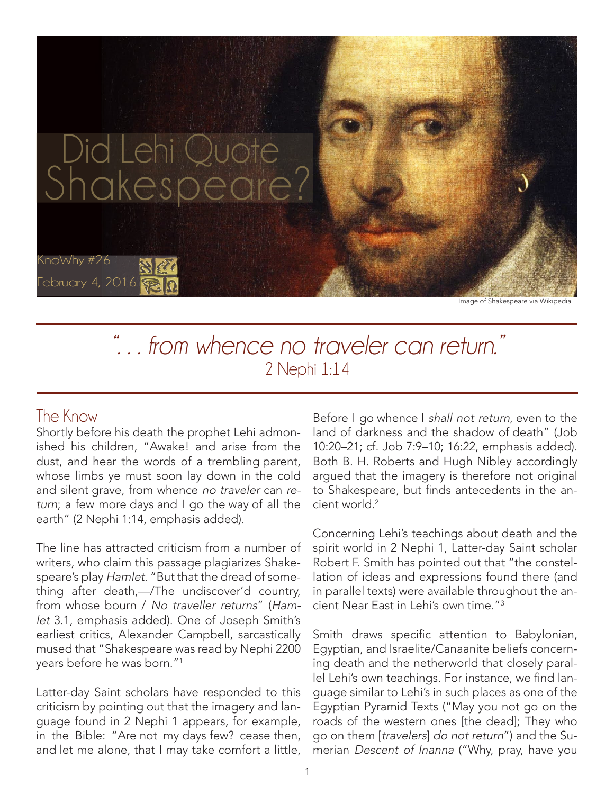

*". . . from whence no traveler can return."* 2 Nephi 1:14

## The Know

Shortly before his death the prophet Lehi admonished his children, "Awake! and arise from the dust, and hear the words of a trembling parent, whose limbs ye must soon lay down in the cold and silent grave, from whence no traveler can return; a few more days and I go the way of all the earth" (2 Nephi 1:14, emphasis added).

The line has attracted criticism from a number of writers, who claim this passage plagiarizes Shakespeare's play Hamlet. "But that the dread of something after death,—/The undiscover'd country, from whose bourn / No traveller returns" (Hamlet 3.1, emphasis added). One of Joseph Smith's earliest critics, Alexander Campbell, sarcastically mused that "Shakespeare was read by Nephi 2200 years before he was born."1

Latter-day Saint scholars have responded to this criticism by pointing out that the imagery and language found in 2 Nephi 1 appears, for example, in the Bible: "Are not my days few? cease then, and let me alone, that I may take comfort a little, Before I go whence I shall not return, even to the land of darkness and the shadow of death" (Job 10:20–21; cf. Job 7:9–10; 16:22, emphasis added). Both B. H. Roberts and Hugh Nibley accordingly argued that the imagery is therefore not original to Shakespeare, but finds antecedents in the ancient world<sup>2</sup>

Concerning Lehi's teachings about death and the spirit world in 2 Nephi 1, Latter-day Saint scholar Robert F. Smith has pointed out that "the constellation of ideas and expressions found there (and in parallel texts) were available throughout the ancient Near East in Lehi's own time."3

Smith draws specific attention to Babylonian, Egyptian, and Israelite/Canaanite beliefs concerning death and the netherworld that closely parallel Lehi's own teachings. For instance, we find language similar to Lehi's in such places as one of the Egyptian Pyramid Texts ("May you not go on the roads of the western ones [the dead]; They who go on them [travelers] do not return") and the Sumerian Descent of Inanna ("Why, pray, have you